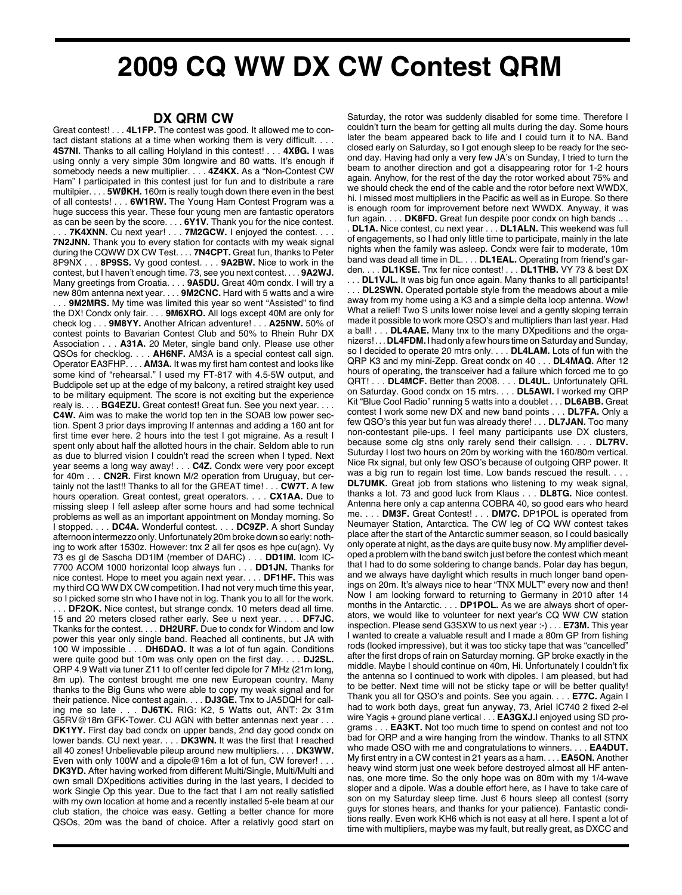## **2009 CQ WW DX CW Contest QRM**

## **DX QRM CW**

Great contest! . . . **4L1FP.** The contest was good. It allowed me to contact distant stations at a time when working them is very difficult. . . . **4S7NI.** Thanks to all calling Holyland in this contest! . . . **4XØG.** I was using onnly a very simple 30m longwire and 80 watts. It's enough if somebody needs a new multiplier. . . . **4Z4KX.** As a "Non-Contest CW Ham" I participated in this contest just for fun and to distribute a rare multilpier. . . . **5WØKH.** 160m is really tough down there even in the best of all contests! . . . **6W1RW.** The Young Ham Contest Program was a huge success this year. These four young men are fantastic operators as can be seen by the score. . . . **6Y1V.** Thank you for the nice contest. 7K4XNN. Cu next year! . . . 7M2GCW. I enjoyed the contest. . . . **7N2JNN.** Thank you to every station for contacts with my weak signal during the CQWW DX CW Test. . . . **7N4CPT.** Great fun, thanks to Peter 8P9NX . . . **8P9SS.** Vy good contest. . . . **9A2BW.** Nice to work in the contest, but I haven't enough time. 73, see you next contest. . . . **9A2WJ.** Many greetings from Croatia. . . . **9A5DU.** Great 40m condx. I will try a new 80m antenna next year. . . . **9M2CNC.** Hard with 5 watts and a wire 9M2MRS. My time was limited this year so went "Assisted" to find the DX! Condx only fair. . . . **9M6XRO.** All logs except 40M are only for check log . . . **9M8YY.** Another African adventure! . . . **A25NW.** 50% of contest points to Bavarian Contest Club and 50% to Rhein Ruhr DX Association . . . **A31A.** 20 Meter, single band only. Please use other QSOs for checklog. . . . **AH6NF.** AM3A is a special contest call sign. Operator EA3FHP. . . . **AM3A.** It was my first ham contest and looks like some kind of "rehearsal." I used my FT-817 with 4.5-5W output, and Buddipole set up at the edge of my balcony, a retired straight key used to be military equipment. The score is not exciting but the experience realy is. . . . **BG4EZU.** Great contest! Great fun. See you next year. . . . **C4W.** Aim was to make the world top ten in the SOAB low power section. Spent 3 prior days improving lf antennas and adding a 160 ant for first time ever here. 2 hours into the test I got migraine. As a result I spent only about half the allotted hours in the chair. Seldom able to run as due to blurred vision I couldn't read the screen when I typed. Next year seems a long way away! . . . **C4Z.** Condx were very poor except for 40m . . . **CN2R.** First known M/2 operation from Uruguay, but certainly not the last!! Thanks to all for the GREAT time! . . . **CW7T.** A few hours operation. Great contest, great operators. . . . **CX1AA.** Due to missing sleep I fell asleep after some hours and had some technical problems as well as an important appointment on Monday morning. So I stopped. . . . **DC4A.** Wonderful contest. . . . **DC9ZP.** A short Sunday afternoon intermezzo only.Unfortunately 20m broke down so early: nothing to work after 1530z. However: tnx 2 all fer qsos es hpe cu(agn). Vy 73 es gl de Sascha DD1IM (member of DARC) . . . **DD1IM.** Icom IC-7700 ACOM 1000 horizontal loop always fun . . . **DD1JN.** Thanks for nice contest. Hope to meet you again next year. . . . **DF1HF.** This was my third CQ WW DX CW competition. I had not very much time this year, so I picked some stn who I have not in log. Thank you to all for the work. .. **DF2OK.** Nice contest, but strange condx. 10 meters dead all time. 15 and 20 meters closed rather early. See u next year. . . . **DF7JC.** Tkanks for the contest. . . . **DH2URF.** Due to condx for Windom and low power this year only single band. Reached all continents, but JA with 100 W impossible . . . **DH6DAO.** It was a lot of fun again. Conditions were quite good but 10m was only open on the first day. . . . **DJ2SL.** QRP 4.9 Watt via tuner Z11 to off center fed dipole for 7 MHz (21m long, 8m up). The contest brought me one new European country. Many thanks to the Big Guns who were able to copy my weak signal and for their patience. Nice contest again. . . . **DJ3GE.** Tnx to JA5DQH for calling me so late . . . **DJ6TK.** RIG: K2, 5 Watts out, ANT: 2x 31m G5RV@18m GFK-Tower. CU AGN with better antennas next year . . . **DK1YY.** First day bad condx on upper bands, 2nd day good condx on lower bands. CU next year. . . . **DK3WN.** It was the first that I reached all 40 zones! Unbelievable pileup around new multipliers. . . . **DK3WW.** Even with only 100W and a dipole@16m a lot of fun, CW forever! . . . **DK3YD.** After having worked from different Multi/Single, Multi/Multi and own small DXpeditions activities during in the last years, I decided to work Single Op this year. Due to the fact that I am not really satisfied with my own location at home and a recently installed 5-ele beam at our club station, the choice was easy. Getting a better chance for more QSOs, 20m was the band of choice. After a relativly good start on

Saturday, the rotor was suddenly disabled for some time. Therefore I couldn't turn the beam for getting all mults during the day. Some hours later the beam appeared back to life and I could turn it to NA. Band closed early on Saturday, so I got enough sleep to be ready for the second day. Having had only a very few JA's on Sunday, I tried to turn the beam to another direction and got a disappearing rotor for 1-2 hours again. Anyhow, for the rest of the day the rotor worked about 75% and we should check the end of the cable and the rotor before next WWDX, hi. I missed most multipliers in the Pacific as well as in Europe. So there is enough room for improvement before next WWDX. Anyway, it was fun again. . . . **DK8FD.** Great fun despite poor condx on high bands .. . . **DL1A.** Nice contest, cu next year . . . **DL1ALN.** This weekend was full of engagements, so I had only little time to participate, mainly in the late nights when the family was asleep. Condx were fair to moderate, 10m band was dead all time in DL. . . . **DL1EAL.** Operating from friend's garden. . . . **DL1KSE.** Tnx fer nice contest! . . . **DL1THB.** VY 73 & best DX . . . **DL1VJL.** It was big fun once again. Many thanks to all participants! . . . **DL2SWN.** Operated portable style from the meadows about a mile away from my home using a K3 and a simple delta loop antenna. Wow! What a relief! Two S units lower noise level and a gently sloping terrain made it possible to work more QSO's and multipliers than last year. Had a ball! . . . **DL4AAE.** Many tnx to the many DXpeditions and the organizers!... DL4FDM. I had only a few hours time on Saturday and Sunday, so I decided to operate 20 mtrs only. . . . **DL4LAM.** Lots of fun with the QRP K3 and my mini-Zepp. Great condx on 40 . . . **DL4MAQ.** After 12 hours of operating, the transceiver had a failure which forced me to go QRT! . . . **DL4MCF.** Better than 2008. . . . **DL4UL.** Unfortunately QRL on Saturday. Good condx on 15 mtrs. . . . **DL5AWI.** I worked my QRP Kit "Blue Cool Radio" running 5 watts into a doublet . . . **DL6ABB.** Great contest I work some new DX and new band points . . . **DL7FA.** Only a few QSO's this year but fun was already there! . . . **DL7JAN.** Too many non-contestant pile-ups. I feel many participants use DX clusters, because some clg stns only rarely send their callsign. . . . **DL7RV.** Suturday I lost two hours on 20m by working with the 160/80m vertical. Nice Rx signal, but only few QSO's because of outgoing QRP power. It was a big run to regain lost time. Low bands rescued the result. . . . **DL7UMK.** Great job from stations who listening to my weak signal, thanks a lot. 73 and good luck from Klaus . . . **DL8TG.** Nice contest. Antenna here only a cap antenna COBRA 40, so good ears who heard me. . . . **DM3F.** Great Contest! . . . **DM7C.** DP1POL is operated from Neumayer Station, Antarctica. The CW leg of CQ WW contest takes place after the start of the Antarctic summer season, so I could basically only operate at night, as the days are quite busy now. My amplifier developed a problem with the band switch just before the contest which meant that I had to do some soldering to change bands. Polar day has begun, and we always have daylight which results in much longer band openings on 20m. It's always nice to hear "TNX MULT" every now and then! Now I am looking forward to returning to Germany in 2010 after 14 months in the Antarctic. . . . **DP1POL.** As we are always short of operators, we would like to volunteer for next year's CQ WW CW station inspection. Please send G3SXW to us next year :-) . . . **E73M.** This year I wanted to create a valuable result and I made a 80m GP from fishing rods (looked impressive), but it was too sticky tape that was "cancelled" after the first drops of rain on Saturday morning. GP broke exactly in the middle. Maybe I should continue on 40m, Hi. Unfortunately I couldn't fix the antenna so I continued to work with dipoles. I am pleased, but had to be better. Next time will not be sticky tape or will be better quality! Thank you all for QSO's and points. See you again. . . . **E77C.** Again I had to work both days, great fun anyway, 73, Ariel IC740 2 fixed 2-el wire Yagis + ground plane vertical . . . **EA3GXJ.**I enjoyed using SD programs . . . **EA3KT.** Not too much time to spend on contest and not too bad for QRP and a wire hanging from the window. Thanks to all STNX who made QSO with me and congratulations to winners. . . . **EA4DUT.** My first entry in a CW contest in 21 years as a ham. . . . **EA5ON.** Another heavy wind storm just one week before destroyed almost all HF antennas, one more time. So the only hope was on 80m with my 1/4-wave sloper and a dipole. Was a double effort here, as I have to take care of son on my Saturday sleep time. Just 6 hours sleep all contest (sorry guys for stones hears, and thanks for your patience). Fantastic conditions really. Even work KH6 which is not easy at all here. I spent a lot of time with multipliers, maybe was my fault, but really great, as DXCC and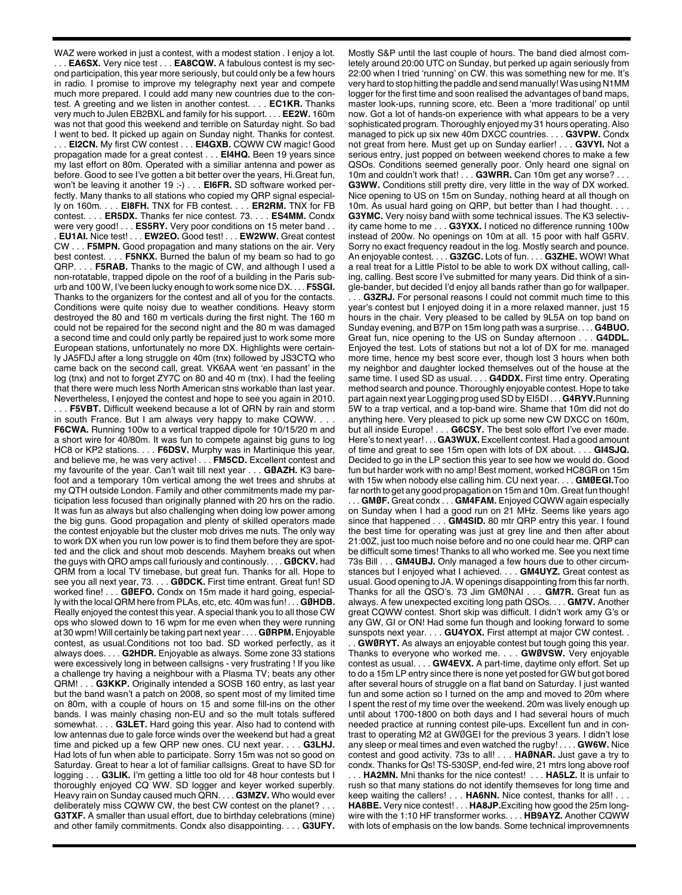WAZ were worked in just a contest, with a modest station . I enjoy a lot. . . . **EA6SX.** Very nice test . . . **EA8CQW.** A fabulous contest is my second participation, this year more seriously, but could only be a few hours in radio. I promise to improve my telegraphy next year and compete much more prepared. I could add many new countries due to the contest. A greeting and we listen in another contest. . . . **EC1KR.** Thanks very much to Julen EB2BXL and family for his support. . . . **EE2W.** 160m was not that good this weekend and terrible on Saturday night. So bad I went to bed. It picked up again on Sunday night. Thanks for contest. . . . **EI2CN.** My first CW contest . . . **EI4GXB.** CQWW CW magic! Good propagation made for a great contest . . . **EI4HQ.** Been 19 years since my last effort on 80m. Operated with a similiar antenna and power as before. Good to see I've gotten a bit better over the years, Hi.Great fun, won't be leaving it another 19 :- ) . . . **EI6FR.** SD software worked perfectly. Many thanks to all stations who copied my QRP signal especially on 160m. . . . **EI8FH.** TNX for FB contest. . . . **ER2RM.** TNX for FB contest. . . . **ER5DX.** Thanks fer nice contest. 73. . . . **ES4MM.** Condx were very good! . . . **ES5RY.** Very poor conditions on 15 meter band . . . **EU1AI.** Nice test! . . . **EW2EO.** Good test! . . . **EW2WW.** Great contest CW . . . **F5MPN.** Good propagation and many stations on the air. Very best contest. . . . **F5NKX.** Burned the balun of my beam so had to go QRP. . . . **F5RAB.** Thanks to the magic of CW, and although I used a non-rotatable, trapped dipole on the roof of a building in the Paris suburb and 100 W, I've been lucky enough to work some nice DX. . . . **F5SGI.** Thanks to the organizers for the contest and all of you for the contacts. Conditions were quite noisy due to weather conditions. Heavy storm destroyed the 80 and 160 m verticals during the first night. The 160 m could not be repaired for the second night and the 80 m was damaged a second time and could only partly be repaired just to work some more European stations, unfortunately no more DX. Highlights were certainly JA5FDJ after a long struggle on 40m (tnx) followed by JS3CTQ who came back on the second call, great. VK6AA went 'en passant' in the log (tnx) and not to forget ZY7C on 80 and 40 m (tnx). I had the feeling that there were much less North American stns workable than last year. Nevertheless, I enjoyed the contest and hope to see you again in 2010.

. . . **F5VBT.** Difficult weekend because a lot of QRN by rain and storm in south France. But I am always very happy to make CQWW. . . . **F6CWA.** Running 100w to a vertical trapped dipole for 10/15/20 m and a short wire for 40/80m. It was fun to compete against big guns to log HC8 or KP2 stations. . . . **F6DSV.** Murphy was in Martinique this year, and believe me, he was very active! . . . **FM5CD.** Excellent contest and my favourite of the year. Can't wait till next year . . . **GØAZH.** K3 barefoot and a temporary 10m vertical among the wet trees and shrubs at my QTH outside London. Family and other commitments made my participation less focused than originally planned with 20 hrs on the radio. It was fun as always but also challenging when doing low power among the big guns. Good propagation and plenty of skilled operators made the contest enjoyable but the cluster mob drives me nuts. The only way to work DX when you run low power is to find them before they are spotted and the click and shout mob descends. Mayhem breaks out when the guys with QRO amps call furiously and continously. . . . **GØCKV.** had QRM from a local TV timebase, but great fun. Thanks for all. Hope to see you all next year, 73. . . . **GØDCK.** First time entrant. Great fun! SD worked fine! . . . **GØEFO.** Condx on 15m made it hard going, especially with the local QRM here from PLAs, etc, etc. 40m was fun! . . . **GØHDB.** Really enjoyed the contest this year. A special thank you to all those CW ops who slowed down to 16 wpm for me even when they were running at 30 wpm! Will certainly be taking part next year . . . . **GØRPM.** Enjoyable contest, as usual.Conditions not too bad. SD worked perfectly, as it always does. . . . **G2HDR.** Enjoyable as always. Some zone 33 stations were excessively long in between callsigns - very frustrating ! If you like a challenge try having a neighbour with a Plasma TV; beats any other QRM! . . . **G3KKP.** Originally intended a SOSB 160 entry, as last year but the band wasn't a patch on 2008, so spent most of my limited time on 80m, with a couple of hours on 15 and some fill-ins on the other bands. I was mainly chasing non-EU and so the mult totals suffered somewhat. . . . **G3LET.** Hard going this year. Also had to contend with low antennas due to gale force winds over the weekend but had a great time and picked up a few QRP new ones. CU next year. . . . **G3LHJ.** Had lots of fun when able to participate. Sorry 15m was not so good on Saturday. Great to hear a lot of familiar callsigns. Great to have SD for logging . . . **G3LIK.** I'm getting a little too old for 48 hour contests but I thoroughly enjoyed CQ WW. SD logger and keyer worked superbly. Heavy rain on Sunday caused much QRN. . . . **G3MZV.** Who would ever deliberately miss CQWW CW, the best CW contest on the planet? . . . **G3TXF.** A smaller than usual effort, due to birthday celebrations (mine) and other family commitments. Condx also disappointing. . . . **G3UFY.**

Mostly S&P until the last couple of hours. The band died almost comletely around 20:00 UTC on Sunday, but perked up again seriously from 22:00 when I tried 'running' on CW. this was something new for me. It's very hard to stop hitting the paddle and send manually! Was using N1MM logger for the first time and soon realised the advantages of band maps, master look-ups, running score, etc. Been a 'more traditional' op until now. Got a lot of hands-on experience with what appears to be a very sophisticated program. Thoroughly enjoyed my 31 hours operating. Also managed to pick up six new 40m DXCC countries. . . . **G3VPW.** Condx not great from here. Must get up on Sunday earlier! . . . **G3VYI.** Not a serious entry, just popped on between weekend chores to make a few QSOs. Conditions seemed generally poor. Only heard one signal on 10m and couldn't work that! . . . **G3WRR.** Can 10m get any worse? . . . **G3WW.** Conditions still pretty dire, very little in the way of DX worked. Nice opening to US on 15m on Sunday, nothing heard at all though on 10m. As usual hard going on QRP, but better than I had thought. . . . **G3YMC.** Very noisy band wiith some technical issues. The K3 selectivity came home to me . . . **G3YXX.** I noticed no difference running 100w instead of 200w. No openings on 10m at all. 15 poor with half G5RV. Sorry no exact frequency readout in the log. Mostly search and pounce. An enjoyable contest. . . . **G3ZGC.** Lots of fun. . . . **G3ZHE.** WOW! What a real treat for a Little Pistol to be able to work DX without calling, calling, calling. Best score I've submitted for many years. Did think of a single-bander, but decided I'd enjoy all bands rather than go for wallpaper.

.. G3ZRJ. For personal reasons I could not commit much time to this year's contest but I enjoyed doing it in a more relaxed manner, just 15 hours in the chair. Very pleased to be called by 9L5A on top band on Sunday evening, and B7P on 15m long path was a surprise. . . . **G4BUO.** Great fun, nice opening to the US on Sunday afternoon . . . **G4DDL.** Enjoyed the test. Lots of stations but not a lot of DX for me. managed more time, hence my best score ever, though lost 3 hours when both my neighbor and daughter locked themselves out of the house at the same time. I used SD as usual. . . . **G4DDX.** First time entry. Operating method search and pounce. Thoroughly enjovable contest. Hope to take part again next year Logging prog usedSD byEI5DI . . . **G4RYV.**Running 5W to a trap vertical, and a top-band wire. Shame that 10m did not do anything here. Very pleased to pick up some new CW DXCC on 160m, but all inside Europe! . . . **G6CSY.** The best solo effort I've ever made. Here's to next year! . . . **GA3WUX.** Excellent contest. Had a good amount of time and great to see 15m open with lots of DX about. . . . **GI4SJQ.** Decided to go in the LP section this year to see how we would do. Good fun but harder work with no amp! Best moment, worked HC8GR on 15m with 15w when nobody else calling him. CU next year. . . . **GMØEGI.**Too far north to get any good propagation on 15m and 10m. Great fun though!

. . . **GMØF.** Great condx . . . **GM4FAM.** Enjoyed CQWW again especially on Sunday when I had a good run on 21 MHz. Seems like years ago since that happened . . . **GM4SID.** 80 mtr QRP entry this year. I found the best time for operating was just at grey line and then after about 21:00Z, just too much noise before and no one could hear me. QRP can be difficult some times! Thanks to all who worked me. See you next time 73s Bill . . . **GM4UBJ.** Only managed a few hours due to other circumstances but I enjoyed what I achieved. . . . **GM4UYZ.** Great contest as usual. Good opening to JA. W openings disappointing from this far north. Thanks for all the QSO's. 73 Jim GMØNAI . . . **GM7R.** Great fun as always. A few unexpected exciting long path QSOs. . . . **GM7V.** Another great CQWW contest. Short skip was difficult. I didn't work amy G's or any GW, GI or ON! Had some fun though and looking forward to some sunspots next year. . . . **GU4YOX.** First attempt at major CW contest. .

. . **GWØRYT.** As always an enjoyable contest but tough going this year. Thanks to everyone who worked me. . . . **GWØVSW.** Very enjoyable contest as usual. . . . **GW4EVX.** A part-time, daytime only effort. Set up to do a 15m LP entry since there is none yet posted for GW but got bored after several hours of struggle on a flat band on Saturday. I just wanted fun and some action so I turned on the amp and moved to 20m where I spent the rest of my time over the weekend. 20m was lively enough up until about 1700-1800 on both days and I had several hours of much needed practice at running contest pile-ups. Excellent fun and in contrast to operating M2 at GWØGEI for the previous 3 years. I didn't lose any sleep or meal times and even watched the rugby! . . . . **GW6W.** Nice contest and good activity. 73s to all! . . . **HAØNAR.** Just gave a try to condx. Thanks for Qs! TS-530SP, end-fed wire, 21 mtrs long above roof . . HA2MN. Mni thanks for the nice contest! . . . HA5LZ. It is unfair to rush so that many stations do not identify themseves for long time and keep waiting the callers! . . . HA6NN. Nice contest, thanks for all! . . **HA8BE.** Very nice contest! . . . **HA8JP.**Exciting how good the 25m longwire with the 1:10 HF transformer works. . . . **HB9AYZ.** Another CQWW with lots of emphasis on the low bands. Some technical improvemnents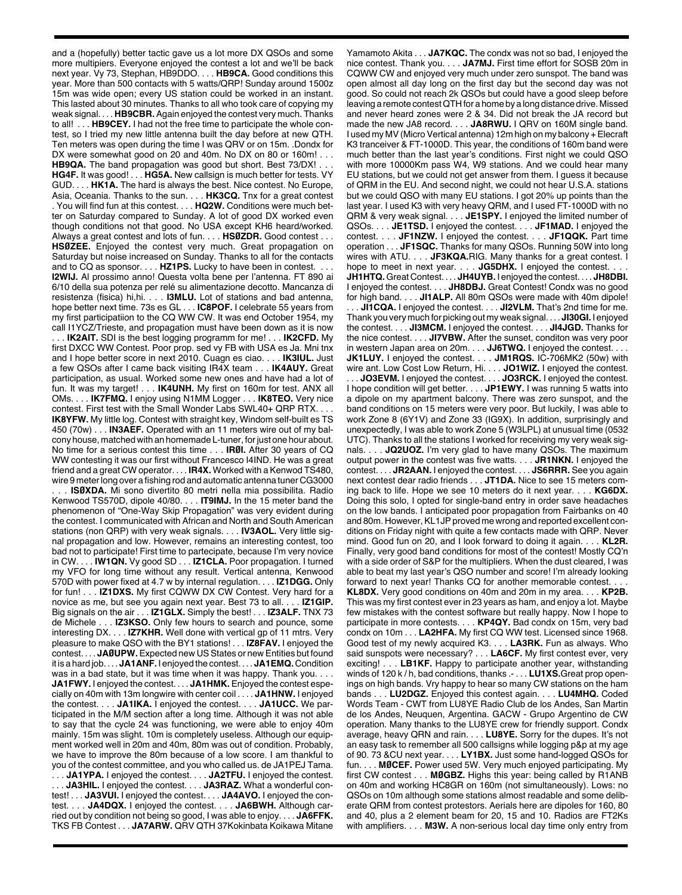and a (hopefully) better tactic gave us a lot more DX QSOs and some more multipiers. Everyone enjoyed the contest a lot and we'll be back next year. Vy 73, Stephan, HB9DDO. . . . **HB9CA.** Good conditions this year. More than 500 contacts with 5 watts/QRP! Sunday around 1500z 15m was wide open; every US station could be worked in an instant. This lasted about 30 minutes. Thanks to all who took care of copying my weak signal. . . . **HB9CBR.** Again enjoyed the contest very much. Thanks to all! . . . **HB9CEY.** I had not the free time to participate the whole contest, so I tried my new little antenna built the day before at new QTH. Ten meters was open during the time I was QRV or on 15m. .Dondx for DX were somewhat good on 20 and 40m. No DX on 80 or 160m! . . . **HB9QA.** The band propagation was good but short. Best 73/DX!. **HG4F.** It was good! . . . **HG5A.** New callsign is much better for tests. VY GUD. . . . **HK1A.** The hard is always the best. Nice contest. No Europe, Asia, Oceania. Thanks to the sun. . . . **HK3CQ.** Tnx for a great contest . You will find fun at this contest. . . . **HQ2W.** Conditions were much better on Saturday compared to Sunday. A lot of good DX worked even though conditions not that good. No USA except KH6 heard/worked. Always a great contest and lots of fun. . . . **HSØZDR.** Good contest . . . **HSØZEE.** Enjoyed the contest very much. Great propagation on Saturday but noise increased on Sunday. Thanks to all for the contacts and to CQ as sponsor. . . . **HZ1PS.** Lucky to have been in contest. . . . **I2WIJ.** Al prossimo anno! Questa volta bene per l'antenna. FT 890 ai 6/10 della sua potenza per relé su alimentazione decotto. Mancanza di resistenza (fisica) hi,hi. . . . **I3MLU.** Lot of stations and bad antenna, hope better next time. 73s es GL . . . **IC8POF.** I celebrate 55 years from my first participatiion to the CQ WW CW. It was end October 1954, my call I1YCZ/Trieste, and propagation must have been down as it is now . . . **IK2AIT.** SDI is the best logging programm for me! . . . **IK2CFD.** My first DXCC WW Contest. Poor prop. sed vy FB with USA es Ja. Mni tnx and I hope better score in next 2010. Cuagn es ciao. . . . **IK3IUL.** Just a few QSOs after I came back visiting IR4X team . . . **IK4AUY.** Great participation, as usual. Worked some new ones and have had a lot of fun. It was my target! . . . **IK4UNH.** My first on 160m for test. ANX all OMs. . . . **IK7FMQ.** I enjoy using N1MM Logger . . . **IK8TEO.** Very nice contest. First test with the Small Wonder Labs SWL40+ QRP RTX. . . . **IK8YFW.** My little log. Contest with straight key, Windom self-built es TS 450 (70w) . . . **IN3AEF.** Operated with an 11 meters wire out of my balcony house, matched with an homemade L-tuner, for just one hour about. No time for a serious contest this time . . . **IRØI.** After 30 years of CQ WW contesting it was our first without Francesco I4IND. He was a great friend and a great CW operator. . . . **IR4X.** Worked with a Kenwod TS480, wire 9 meter long over a fishing rod and automatic antenna tuner CG3000 . . . **ISØXDA.** Mi sono divertito 80 metri nella mia possibilita. Radio Kenwood TS570D, dipole 40/80. . . . **IT9IMJ.** In the 15 meter band the phenomenon of "One-Way Skip Propagation" was very evident during the contest. I communicated with African and North and South American stations (non QRP) with very weak signals. . . . **IV3AOL.** Very little signal propagation and low. However, remains an interesting contest, too bad not to participate! First time to partecipate, because I'm very novice in CW. . . . **IW1QN.** Vy good SD . . . **IZ1CLA.** Poor propagation. I turned my VFO for long time without any result. Vertical antenna, Kenwood 570D with power fixed at 4.7 w by internal regulation. . . . **IZ1DGG.** Only for fun! . . . **IZ1DXS.** My first CQWW DX CW Contest. Very hard for a novice as me, but see you again next year. Best 73 to all. . . . **IZ1GIP.** Big signals on the air . . . **IZ1GLX.** Simply the best! . . . **IZ3ALF.** TNX 73 de Michele . . . **IZ3KSO.** Only few hours to search and pounce, some interesting DX. . . . **IZ7KHR.** Well done with vertical gp of 11 mtrs. Very pleasure to make QSO with the BY1 stations! . . . **IZ8FAV.** I enjoyed the contest. . . . **JAØUPW.** Expected new US States or new Entities but found it is a hard job. . . . **JA1ANF.** I enjoyed the contest. . . . **JA1EMQ.** Condition was in a bad state, but it was time when it was happy. Thank you.... **JA1FWY.** I enjoyed the contest. . . . **JA1HMK.** Enjoyed the contest especially on 40m with 13m longwire with center coil . . . . **JA1HNW.** I enjoyed the contest. . . . **JA1IKA.** I enjoyed the contest. . . . **JA1UCC.** We participated in the M/M section after a long time. Although it was not able to say that the cycle 24 was functioning, we were able to enjoy 40m mainly. 15m was slight. 10m is completely useless. Although our equipment worked well in 20m and 40m, 80m was out of condition. Probably, we have to improve the 80m because of a low score. I am thankful to you of the contest committee, and you who called us. de JA1PEJ Tama. . . . **JA1YPA.** I enjoyed the contest. . . . **JA2TFU.** I enjoyed the contest. . . . **JA3HIL.** I enjoyed the contest. . . . **JA3RAZ.** What a wonderful contest! . . . **JA3VUI.** I enjoyed the contest. . . . **JA4AVO.** I enjoyed the contest. . . . **JA4DQX.** I enjoyed the contest. . . . **JA6BWH.** Although carried out by condition not being so good, I was able to enjoy. . . . **JA6FFK.** TKS FB Contest . . . **JA7ARW.** QRV QTH 37Kokinbata Koikawa Mitane

Yamamoto Akita . . . **JA7KQC.** The condx was not so bad, I enjoyed the nice contest. Thank you. . . . **JA7MJ.** First time effort for SOSB 20m in CQWW CW and enjoyed very much under zero sunspot. The band was open almost all day long on the first day but the second day was not good. So could not reach 2k QSOs but could have a good sleep before leaving a remote contestQTH for a home by a long distance drive. Missed and never heard zones were 2 & 34. Did not break the JA record but made the new JA8 record. . . . **JA8RWU.** I QRV on 160M single band. I used my MV (Micro Vertical antenna) 12m high on my balcony + Elecraft K3 tranceiver & FT-1000D. This year, the conditions of 160m band were much better than the last year's conditions. First night we could QSO with more 10000Km pass W4, W9 stations. And we could hear many EU stations, but we could not get answer from them. I guess it because of QRM in the EU. And second night, we could not hear U.S.A. stations but we could QSO with many EU stations. I got 20% up points than the last year. I used K3 with very heavy QRM, and I used FT-1000D with no QRM & very weak signal. . . . **JE1SPY.** I enjoyed the limited number of QSOs. . . . **JE1TSD.** I enjoyed the contest. . . . **JF1MAD.** I enjoyed the contest. . . . **JF1NZW.** I enjoyed the contest. . . . **JF1QQK.** Part time operation . . . **JF1SQC.** Thanks for many QSOs. Running 50W into long wires with ATU. . . . **JF3KQA.**RIG. Many thanks for a great contest. I hope to meet in next year. . . . **JG5DHX.** I enjoyed the contest. **JH1HTQ.** Great Contest. . . . **JH4UYB.** I enjoyed the contest. . . . **JH8DBI.** I enjoyed the contest. . . . **JH8DBJ.** Great Contest! Condx was no good for high band. . . . **JI1ALP.** All 80m QSOs were made with 40m dipole! .. JI1CQA. I enjoyed the contest.... JI2VLM. That's 2nd time for me. Thank you very much for picking out my weak signal. . . . **JI30GI.** I enjoyed the contest. . . . **JI3MCM.** I enjoyed the contest. . . . **JI4JGD.** Thanks for the nice contest. . . . **JI7VBW.** After the sunset, conditon was very poor in western Japan area on 20m. . . . **JJ6TWQ.** I enjoyed the contest. . . . **JK1LUY.** I enjoyed the contest. . . . **JM1RQS.** IC-706MK2 (50w) with wire ant. Low Cost Low Return, Hi. . . . **JO1WIZ.** I enjoyed the contest. . . . **JO3EVM.** I enjoyed the contest. . . . **JO3RCK.** I enjoyed the contest. I hope condition will get better. . . . **JP1EWY.** I was running 5 watts into a dipole on my apartment balcony. There was zero sunspot, and the band conditions on 15 meters were very poor. But luckily, I was able to work Zone 8 (6Y1V) and Zone 33 (IG9X). In addition, surprisingly and unexpectedly, I was able to work Zone 5 (W3LPL) at unusual time (0532 UTC). Thanks to all the stations I worked for receiving my very weak signals. . . . **JQ2UOZ.** I'm very glad to have many QSOs. The maximum output power in the contest was five watts. . . . **JR1NKN.** I enjoyed the contest. . . . **JR2AAN.** I enjoyed the contest. . . . **JS6RRR.** See you again next contest dear radio friends . . . **JT1DA.** Nice to see 15 meters coming back to life. Hope we see 10 meters do it next year. . . . **KG6DX.** Doing this solo, I opted for single-band entry in order save headaches on the low bands. I anticipated poor propagation from Fairbanks on 40 and 80m. However, KL1JP proved me wrong and reported excellent conditions on Friday night with quite a few contacts made with QRP. Never mind. Good fun on 20, and I look forward to doing it again. . . . **KL2R.** Finally, very good band conditions for most of the contest! Mostly CQ'n with a side order of S&P for the multipliers. When the dust cleared, I was able to beat my last year's QSO number and score! I'm already looking forward to next year! Thanks CQ for another memorable contest. . . . **KL8DX.** Very good conditions on 40m and 20m in my area. . . . **KP2B.** This was my first contest ever in 23 years as ham, and enjoy a lot. Maybe few mistakes with the contest software but really happy. Now I hope to participate in more contests. . . . **KP4QY.** Bad condx on 15m, very bad condx on 10m . . . **LA2HFA.** My first CQ WW test. Licensed since 1968. Good test of my newly acquired K3. . . . **LA3RK.** Fun as always. Who said sunspots were necessary? . . . **LA6CF.** My first contest ever, very exciting! . . LB1KF. Happy to participate another year, withstanding winds of 120 k / h, bad conditions, thanks .- . . . **LU1XS.**Great prop openings on high bands. Vry happy to hear so many CW stations on the ham bands . . . **LU2DGZ.** Enjoyed this contest again. . . . **LU4MHQ.** Coded Words Team - CWT from LU8YE Radio Club de los Andes, San Martin de los Andes, Neuquen, Argentina. GACW - Grupo Argentino de CW operation. Many thanks to the LU8YE crew for friendly support. Condx average, heavy QRN and rain. . . . **LU8YE.** Sorry for the dupes. It's not an easy task to remember all 500 callsigns while logging p&p at my age of 90. 73 &CU next year. . . . **LY1BX.** Just some hand-logged QSOs for fun. . . . **MØCEF.** Power used 5W. Very much enjoyed participating. My first CW contest . . . **MØGBZ.** Highs this year: being called by R1ANB on 40m and working HC8GR on 160m (not simultaneously). Lows: no QSOs on 10m although some stations almost readable and some deliberate QRM from contest protestors. Aerials here are dipoles for 160, 80 and 40, plus a 2 element beam for 20, 15 and 10. Radios are FT2Ks with amplifiers. . . . **M3W.** A non-serious local day time only entry from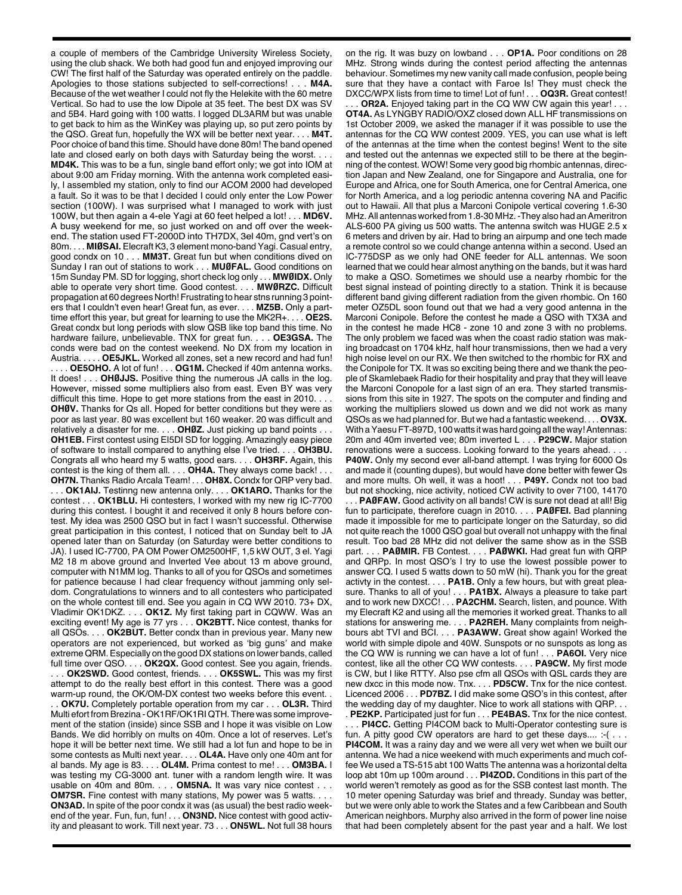a couple of members of the Cambridge University Wireless Society, using the club shack. We both had good fun and enjoyed improving our CW! The first half of the Saturday was operated entirely on the paddle. Apologies to those stations subjected to self-corrections! . . . **M4A.** Because of the wet weather I could not fly the Helekite with the 60 metre Vertical. So had to use the low Dipole at 35 feet. The best DX was SV and 5B4. Hard going with 100 watts. I logged DL3ARM but was unable to get back to him as the WinKey was playing up, so put zero points by the QSO. Great fun, hopefully the WX will be better next year. . . . **M4T.** Poor choice of band this time. Should have done 80m! The band opened late and closed early on both days with Saturday being the worst. . **MD4K.** This was to be a fun, single band effort only; we got into IOM at about 9:00 am Friday morning. With the antenna work completed easily, I assembled my station, only to find our ACOM 2000 had developed a fault. So it was to be that I decided I could only enter the Low Power section (100W). I was surprised what I managed to work with just 100W, but then again a 4-ele Yagi at 60 feet helped a lot! . . . **MD6V.** A busy weekend for me, so just worked on and off over the weekend. The station used FT-2000D into TH7DX, 3el 40m, gnd vert's on 80m. . . . **MIØSAI.** Elecraft K3, 3 element mono-band Yagi. Casual entry, good condx on 10 . . . **MM3T.** Great fun but when conditions dived on Sunday I ran out of stations to work . . . **MUØFAL.** Good conditions on 15m Sunday PM. SD for logging, short check log only . . . **MWØIDX.** Only able to operate very short time. Good contest. . . . **MWØRZC.** Difficult propagation at 60 degrees North! Frustrating to hear stns running 3 pointers that I couldn't even hear! Great fun, as ever. . . . **MZ5B.** Only a parttime effort this year, but great for learning to use the MK2R+. . . . **OE2S.** Great condx but long periods with slow QSB like top band this time. No hardware failure, unbelievable. TNX for great fun. . . . **OE3GSA.** The conds were bad on the contest weekend. No DX from my location in Austria. . . . . **OE5JKL.** Worked all zones, set a new record and had fun! .. OE5OHO. A lot of fun! . . . OG1M. Checked if 40m antenna works. It does! . . . **OHØJJS.** Positive thing the numerous JA calls in the log. However, missed some multipliers also from east. Even BY was very difficult this time. Hope to get more stations from the east in 2010. . . . **OHØV.** Thanks for Qs all. Hoped for better conditions but they were as poor as last year. 80 was excellent but 160 weaker. 20 was difficult and relatively a disaster for me. . . . **OHØZ.** Just picking up band points . . . **OH1EB.** First contest using EI5DI SD for logging. Amazingly easy piece of software to install compared to anything else I've tried. . . . **OH3BU.** Congrats all who heard my 5 watts, good ears. . . . **OH3RF.** Again, this contest is the king of them all. . . . **OH4A.** They always come back! . . . **OH7N.** Thanks Radio Arcala Team! . . . **OH8X.** Condx for QRP very bad. . . . **OK1AIJ.** Testinng new antenna only. . . . **OK1ARO.** Thanks for the contest . . . **OK1BLU.** Hi contesters, I worked with my new rig IC-7700 during this contest. I bought it and received it only 8 hours before contest. My idea was 2500 QSO but in fact I wasn't successful. Otherwise great participation in this contest, I noticed that on Sunday belt to JA opened later than on Saturday (on Saturday were better conditions to JA). I used IC-7700, PA OM Power OM2500HF, 1,5 kW OUT, 3 el. Yagi M2 18 m above ground and Inverted Vee about 13 m above ground, computer with N1MM log. Thanks to all of you for QSOs and sometimes for patience because I had clear frequency without jamming only seldom. Congratulations to winners and to all contesters who participated on the whole contest till end. See you again in CQ WW 2010. 73+ DX, Vladimir OK1DKZ. . . . **OK1Z.** My first taking part in CQWW. Was an exciting event! My age is 77 yrs . . . **OK2BTT.** Nice contest, thanks for all QSOs. . . . **OK2BUT.** Better condx than in previous year. Many new operators are not experienced, but worked as 'big guns' and make extreme QRM. Especially on the good DX stations on lower bands, called full time over QSO. . . . **OK2QX.** Good contest. See you again, friends. . . . **OK2SWD.** Good contest, friends. . . . **OK5SWL.** This was my first attempt to do the really best effort in this contest. There was a good warm-up round, the OK/OM-DX contest two weeks before this event. . OK7U. Completely portable operation from my car . . . OL3R. Third Multi efort from Brezina - OK1RF/OK1RI QTH. There was some improvement of the station (inside) since SSB and I hope it was visible on Low Bands. We did horribly on mults on 40m. Once a lot of reserves. Let's hope it will be better next time. We still had a lot fun and hope to be in some contests as Multi next year. . . . **OL4A.** Have only one 40m ant for al bands. My age is 83. . . . **OL4M.** Prima contest to me! . . . **OM3BA.** I was testing my CG-3000 ant. tuner with a random length wire. It was usable on 40m and 80m. . . . **OM5NA.** It was vary nice contest . . . **OM7SR.** Fine contest with many stations, My power was 5 watts. . . **ON3AD.** In spite of the poor condx it was (as usual) the best radio weekend of the year. Fun, fun, fun! . . . **ON3ND.** Nice contest with good activity and pleasant to work. Till next year. 73 . . . **ON5WL.** Not full 38 hours

on the rig. It was buzy on lowband . . . **OP1A.** Poor conditions on 28 MHz. Strong winds during the contest period affecting the antennas behaviour. Sometimes my new vanity call made confusion, people being sure that they have a contact with Faroe Is! They must check the DXCC/WPX lists from time to time! Lot of fun! . . . **OQ3R.** Great contest!

**OR2A.** Enjoyed taking part in the CQ WW CW again this year! . . . **OT4A.** As LYNGBY RADIO/OXZ closed down ALL HF transmissions on 1st October 2009, we asked the manager if it was possible to use the antennas for the CQ WW contest 2009. YES, you can use what is left of the antennas at the time when the contest begins! Went to the site and tested out the antennas we expected still to be there at the beginning of the contest. WOW! Some very good big rhombic antennas, direction Japan and New Zealand, one for Singapore and Australia, one for Europe and Africa, one for South America, one for Central America, one for North America, and a log periodic antenna covering NA and Pacific out to Hawaii. All that plus a Marconi Conipole vertical covering 1.6-30 MHz.All antennas worked from 1.8-30 MHz.-They also had anAmeritron ALS-600 PA giving us 500 watts. The antenna switch was HUGE 2.5 x 6 meters and driven by air. Had to bring an airpump and one tech made a remote control so we could change antenna within a second. Used an IC-775DSP as we only had ONE feeder for ALL antennas. We soon learned that we could hear almost anything on the bands, but it was hard to make a QSO. Sometimes we should use a nearby rhombic for the best signal instead of pointing directly to a station. Think it is because different band giving different radiation from the given rhombic. On 160 meter OZ5DL soon found out that we had a very good antenna in the Marconi Conipole. Before the contest he made a QSO with TX3A and in the contest he made HC8 - zone 10 and zone 3 with no problems. The only problem we faced was when the coast radio station was making broadcast on 1704 kHz, half hour transmissions, then we had a very high noise level on our RX. We then switched to the rhombic for RX and the Conipole for TX. It was so exciting being there and we thank the people of Skamlebaek Radio for their hospitality and pray that they will leave the Marconi Conopole for a last sign of an era. They started transmissions from this site in 1927. The spots on the computer and finding and working the multipliers slowed us down and we did not work as many QSOs as we had planned for. But we had a fantastic weekend. . . . **OV3X.** With a Yaesu FT-897D, 100 watts it was hard going all the way! Antennas: 20m and 40m inverted vee; 80m inverted L . . . **P29CW.** Major station renovations were a success. Looking forward to the years ahead. . . . **P40W.** Only my second ever all-band attempt. I was trying for 6000 Qs and made it (counting dupes), but would have done better with fewer Qs and more mults. Oh well, it was a hoot! . . . **P49Y.** Condx not too bad but not shocking, nice activity, noticed CW activity to over 7100, 14170

. **PAØFAW.** Good activity on all bands! CW is sure not dead at all! Big fun to participate, therefore cuagn in 2010. . . . **PAØFEI.** Bad planning made it impossible for me to participate longer on the Saturday, so did not quite reach the 1000 QSO goal but overall not unhappy with the final result. Too bad 28 MHz did not deliver the same show as in the SSB part. . . . **PAØMIR.** FB Contest. . . . **PAØWKI.** Had great fun with QRP and QRPp. In most QSO's I try to use the lowest possible power to answer CQ. I used 5 watts down to 50 mW (hi). Thank you for the great activty in the contest. . . . **PA1B.** Only a few hours, but with great pleasure. Thanks to all of you! . . . **PA1BX.** Always a pleasure to take part and to work new DXCC! . . . **PA2CHM.** Search, listen, and pounce. With my Elecraft K2 and using all the memories it worked great. Thanks to all stations for answering me. . . . **PA2REH.** Many complaints from neighbours abt TVI and BCI. . . . **PA3AWW.** Great show again! Worked the world with simple dipole and 40W. Sunspots or no sunspots as long as the CQ WW is running we can have a lot of fun! . . . **PA6OI.** Very nice contest, like all the other CQ WW contests. . . . **PA9CW.** My first mode is CW, but I like RTTY. Also pse cfm all QSOs with QSL cards they are new dxcc in this mode now. Tnx. . . . **PD5CW.** Tnx for the nice contest. Licenced 2006 . . . **PD7BZ.** I did make some QSO's in this contest, after the wedding day of my daughter. Nice to work all stations with QRP. . . . **PE2KP.** Participated just for fun . . . **PE4BAS.** Tnx for the nice contest.

.. **PI4CC.** Getting PI4COM back to Multi-Operator contesting sure is fun. A pitty good  $\tilde{C}W$  operators are hard to get these days.... :- (... **PI4COM.** It was a rainy day and we were all very wet when we built our antenna. We had a nice weekend with much experiments and much coffee We used a TS-515 abt 100 Watts The antenna was a horizontal delta loop abt 10m up 100m around . . . **PI4ZOD.** Conditions in this part of the world weren't remotely as good as for the SSB contest last month. The 10 meter opening Saturday was brief and thready. Sunday was better, but we were only able to work the States and a few Caribbean and South American neighbors. Murphy also arrived in the form of power line noise that had been completely absent for the past year and a half. We lost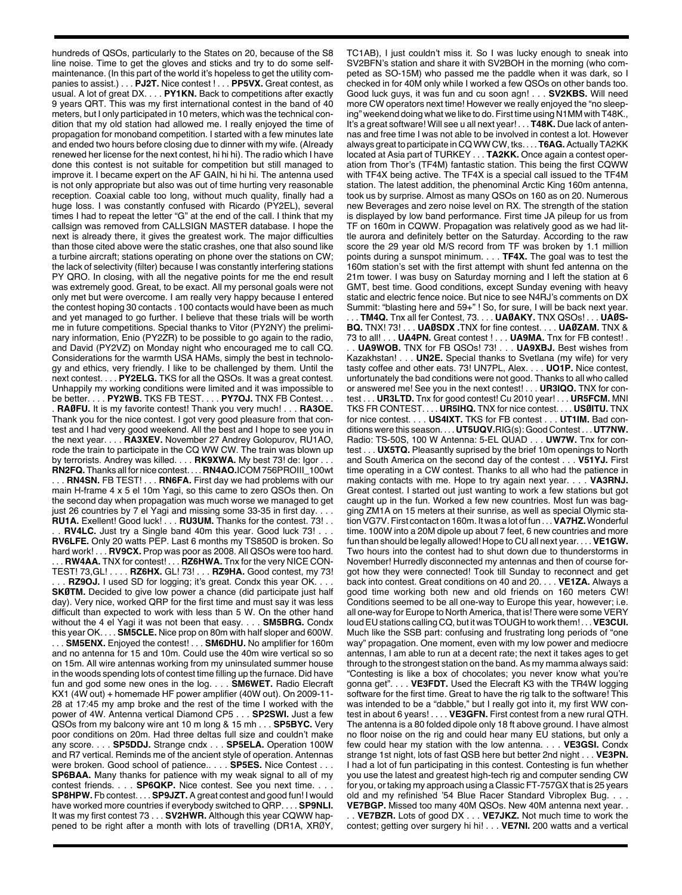hundreds of QSOs, particularly to the States on 20, because of the S8 line noise. Time to get the gloves and sticks and try to do some selfmaintenance. (In this part of the world it's hopeless to get the utility companies to assist.) . . . **PJ2T.** Nice contest ! . . . **PP5VX.** Great contest, as usual. A lot of great DX. . . . **PY1KN.** Back to competitions after exactly 9 years QRT. This was my first international contest in the band of 40 meters, but I only participated in 10 meters, which was the technical condition that my old station had allowed me. I really enjoyed the time of propagation for monoband competition. I started with a few minutes late and ended two hours before closing due to dinner with my wife. (Already renewed her license for the next contest, hi hi hi). The radio which I have done this contest is not suitable for competition but still managed to improve it. I became expert on the AF GAIN, hi hi hi. The antenna used is not only appropriate but also was out of time hurting very reasonable reception. Coaxial cable too long, without much quality, finally had a huge loss. I was constantly confused with Ricardo (PY2EL), several times I had to repeat the letter "G" at the end of the call. I think that my callsign was removed from CALLSIGN MASTER database. I hope the next is already there, it gives the greatest work. The major difficulties than those cited above were the static crashes, one that also sound like a turbine aircraft; stations operating on phone over the stations on CW; the lack of selectivity (filter) because I was constantly interfering stations PY QRO. In closing, with all the negative points for me the end result was extremely good. Great, to be exact. All my personal goals were not only met but were overcome. I am really very happy because I entered the contest hoping 30 contacts . 100 contacts would have been as much and yet managed to go further. I believe that these trials will be worth me in future competitions. Special thanks to Vitor (PY2NY) the preliminary information, Enio (PY2ZR) to be possible to go again to the radio, and David (PY2VZ) on Monday night who encouraged me to call CQ. Considerations for the warmth USA HAMs, simply the best in technology and ethics, very friendly. I like to be challenged by them. Until the next contest. . . . **PY2ELG.** TKS for all the QSOs. It was a great contest. Unhappily my working conditions were limited and it was impossible to be better. . . . **PY2WB.** TKS FB TEST. . . . **PY7OJ.** TNX FB Contest. . . . **RAØFU.** It is my favorite contest! Thank you very much! . . . **RA3OE.** Thank you for the nice contest. I got very good pleasure from that contest and I had very good weekend. All the best and I hope to see you in the next year. . . . **RA3XEV.** November 27 Andrey Golopurov, RU1AO, rode the train to participate in the CQ WW CW. The train was blown up by terrorists. Andrey was killed. . . . **RK9XWA.** My best 73! de: Igor . . . **RN2FQ.** Thanks all for nice contest. . . . **RN4AO.**ICOM 756PROIII\_100wt . . . **RN4SN.** FB TEST! . . . **RN6FA.** First day we had problems with our main H-frame 4 x 5 el 10m Yagi, so this came to zero QSOs then. On the second day when propagation was much worse we managed to get just 26 countries by 7 el Yagi and missing some 33-35 in first day. **RU1A.** Exellent! Good luck! . . . **RU3UM.** Thanks for the contest. 73! . . **RV4LC.** Just try a Single band 40m this year. Good luck 73! . . . **RV6LFE.** Only 20 watts PEP. Last 6 months my TS850D is broken. So hard work! . . . **RV9CX.** Prop was poor as 2008. All QSOs were too hard. .. **RW4AA.** TNX for contest!... **RZ6HWA.** Tnx for the very NICE CON-TEST! 73,GL! . . . . **RZ6HX.** GL! 73! . . . **RZ9HA.** Good contest, my 73! RZ9OJ. I used SD for logging; it's great. Condx this year OK. . **SKØTM.** Decided to give low power a chance (did participate just half day). Very nice, worked QRP for the first time and must say it was less difficult than expected to work with less than 5 W. On the other hand without the 4 el Yagi it was not been that easy. . . . **SM5BRG.** Condx this year OK. . . . **SM5CLE.** Nice prop on 80m with half sloper and 600W. . . . **SM5ENX.** Enjoyed the contest! . . . **SM6DHU.** No amplifier for 160m and no antenna for 15 and 10m. Could use the 40m wire vertical so so on 15m. All wire antennas working from my uninsulated summer house in the woods spending lots of contest time filling up the furnace. Did have fun and god some new ones in the log. . . . **SM6WET.** Radio Elecraft KX1 (4W out) + homemade HF power amplifier (40W out). On 2009-11- 28 at 17:45 my amp broke and the rest of the time I worked with the power of 4W. Antenna vertical Diamond CP5 . . . **SP2SWI.** Just a few QSOs from my balcony wire ant 10 m long & 15 mh . . . **SP5BYC.** Very poor conditions on 20m. Had three deltas full size and couldn't make any score. . . . **SP5DDJ.** Strange cndx . . . **SP5ELA.** Operation 100W and R7 vertical. Reminds me of the ancient style of operation. Antennas were broken. Good school of patience.. . . . **SP5ES.** Nice Contest . . . **SP6BAA.** Many thanks for patience with my weak signal to all of my contest friends. . . . **SP6QKP.** Nice contest. See you next time. . . . **SP8HPW.** Fb contest. . . . **SP9JZT.** A great contest and good fun! I would have worked more countries if everybody switched to QRP. . . . **SP9NLI.** It was my first contest 73 . . . **SV2HWR.** Although this year CQWW happened to be right after a month with lots of travelling (DR1A, XRØY,

TC1AB), I just couldn't miss it. So I was lucky enough to sneak into SV2BFN's station and share it with SV2BOH in the morning (who competed as SO-15M) who passed me the paddle when it was dark, so I checked in for 40M only while I worked a few QSOs on other bands too. Good luck guys, it was fun and cu soon agn! . . . **SV2KBS.** Will need more CW operators next time! However we really enjoyed the "no sleeping" weekend doing what we like to do. First time using N1MM with T48K., It's a great software! Will see u all next year! . . . **T48K.** Due lack of antennas and free time I was not able to be involved in contest a lot. However always great to participate in CQ WW CW, tks. . . . **T6AG.**Actually TA2KK located at Asia part of TURKEY . . . **TA2KK.** Once again a contest operation from Thor's (TF4M) fantastic station. This being the first CQWW with TF4X being active. The TF4X is a special call issued to the TF4M station. The latest addition, the phenominal Arctic King 160m antenna, took us by surprise. Almost as many QSOs on 160 as on 20. Numerous new Beverages and zero noise level on RX. The strength of the station is displayed by low band performance. First time JA pileup for us from TF on 160m in CQWW. Propagation was relatively good as we had little aurora and definitely better on the Saturday. According to the raw score the 29 year old M/S record from TF was broken by 1.1 million points during a sunspot minimum. . . . **TF4X.** The goal was to test the 160m station's set with the first attempt with shunt fed antenna on the 21m tower. I was busy on Saturday morning and I left the station at 6 GMT, best time. Good conditions, except Sunday evening with heavy static and electric fence noice. But nice to see N4RJ's comments on DX Summit: "blasting here and 59+" ! So, for sure, I will be back next year. . . . **TM4Q.** Tnx all fer Contest, 73. . . . **UAØAKY.** TNX QSOs! . . . **UAØS-BQ.** TNX! 73! . . . **UAØSDX .**TNX for fine contest. . . . **UAØZAM.** TNX & 73 to all! . . . **UA4PN.** Great contest ! . . . **UA9MA.** Tnx for FB contest! . . . **UA9WOB.** TNX for FB QSOs! 73! . . . **UA9XBJ.** Best wishes from Kazakhstan! . . . **UN2E.** Special thanks to Svetlana (my wife) for very tasty coffee and other eats. 73! UN7PL, Alex. . . . **UO1P.** Nice contest, unfortunately the bad conditions were not good. Thanks to all who called or answered me! See you in the next contest! . . . **UR3IQO.** TNX for contest . . . **UR3LTD.** Tnx for good contest! Cu 2010 year! . . . **UR5FCM.** MNI TKS FR CONTEST. . . . **UR5IHQ.** TNX for nice contest. . . . **USØITU.** TNX for nice contest. . . . **US4IXT.** TKS for FB contest . . . **UT1IM.** Bad conditions were this season. . . . **UT5UQV.**RIG(s): Good Contest . . . **UT7NW.** Radio: TS-50S, 100 W Antenna: 5-EL QUAD . . . **UW7W.** Tnx for contest . . . **UX5TQ.** Pleasantly suprised by the brief 10m openings to North and South America on the second day of the contest . . . **V51YJ.** First time operating in a CW contest. Thanks to all who had the patience in making contacts with me. Hope to try again next year. . . . **VA3RNJ.** Great contest. I started out just wanting to work a few stations but got caught up in the fun. Worked a few new countries. Most fun was bagging ZM1A on 15 meters at their sunrise, as well as special Olymic stationVG7V.First contact on 160m. It was a lot of fun . . .**VA7HZ.**Wonderful time. 100W into a 20M dipole up about 7 feet, 6 new countries and more fun than should be legally allowed! Hope to CU all next year. . . . **VE1GW.** Two hours into the contest had to shut down due to thunderstorms in November! Hurredly disconnected my antennas and then of course forgot how they were connected! Took till Sunday to reconnect and get back into contest. Great conditions on 40 and 20. . . . **VE1ZA.** Always a good time working both new and old friends on 160 meters CW! Conditions seemed to be all one-way to Europe this year, however; i.e. all one-way for Europe to North America, that is! There were some VERY loudEU stations calling CQ, but it was TOUGH to work them! . . .**VE3CUI.** Much like the SSB part: confusing and frustrating long periods of "one way" propagation. One moment, even with my low power and mediocre antennas, I am able to run at a decent rate; the next it takes ages to get through to the strongest station on the band. As my mamma always said: "Contesting is like a box of chocolates; you never know what you're gonna get". . . . **VE3FDT.** Used the Elecraft K3 with the TR4W logging software for the first time. Great to have the rig talk to the software! This was intended to be a "dabble," but I really got into it, my first WW contest in about 6 years! . . . . **VE3GFN.** First contest from a new rural QTH. The antenna is a 80 folded dipole only 18 ft above ground. I have almost no floor noise on the rig and could hear many EU stations, but only a few could hear my station with the low antenna. . . . **VE3GSI.** Condx strange 1st night, lots of fast QSB here but better 2nd night . . . **VE3PN.** I had a lot of fun participating in this contest. Contesting is fun whether you use the latest and greatest high-tech rig and computer sending CW for you, or taking my approach using a Classic FT-757GX that is 25 vears old and my refinished '54 Blue Racer Standard Vibroplex Bug. . . . **VE7BGP.** Missed too many 40M QSOs. New 40M antenna next year. .

. . **VE7BZR.** Lots of good DX . . . **VE7JKZ.** Not much time to work the contest; getting over surgery hi hi! . . . **VE7NI.** 200 watts and a vertical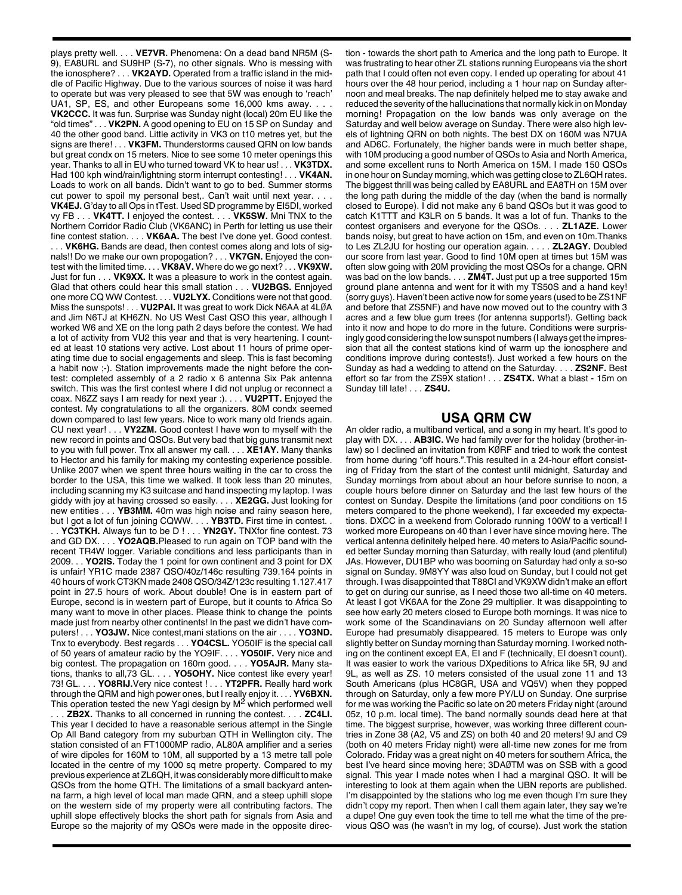plays pretty well. . . . **VE7VR.** Phenomena: On a dead band NR5M (S-9), EA8URL and SU9HP (S-7), no other signals. Who is messing with the ionosphere? . . . **VK2AYD.** Operated from a traffic island in the middle of Pacific Highway. Due to the various sources of noise it was hard to operate but was very pleased to see that 5W was enough to 'reach' UA1, SP, ES, and other Europeans some 16,000 kms away. . **VK2CCC.** It was fun. Surprise was Sunday night (local) 20m EU like the "old times" . . . **VK2PN.** A good opening to EU on 15 SP on Sunday and 40 the other good band. Little activity in VK3 on t10 metres yet, but the signs are there! . . . **VK3FM.** Thunderstorms caused QRN on low bands but great condx on 15 meters. Nice to see some 10 meter openings this year. Thanks to all in EU who turned toward VK to hear us! . . . **VK3TDX.** Had 100 kph wind/rain/lightning storm interrupt contesting! . . . **VK4AN.** Loads to work on all bands. Didn't want to go to bed. Summer storms cut power to spoil my personal best,. Can't wait until next year. . . . **VK4EJ.** G'day to all Ops in tTest. Used SD programme by EI5DI, worked vy FB . . . **VK4TT.** I enjoyed the contest. . . . **VK5SW.** Mni TNX to the Northern Corridor Radio Club (VK6ANC) in Perth for letting us use their fine contest station. . . . **VK6AA.** The best I've done yet. Good contest. VK6HG. Bands are dead, then contest comes along and lots of signals!! Do we make our own propogation? . . . **VK7GN.** Enjoyed the contest with the limited time. . . . **VK8AV.** Where do we go next? . . . **VK9XW.** Just for fun . . . **VK9XX.** It was a pleasure to work in the contest again. Glad that others could hear this small station . . . **VU2BGS.** Ennjoyed one more CQ WW Contest. . . . **VU2LYX.** Conditions were not that good. Miss the sunspots! . . . **VU2PAI.** It was great to work Dick N6AA at 4LØA and Jim N6TJ at KH6ZN. No US West Cast QSO this year, although I worked W6 and XE on the long path 2 days before the contest. We had a lot of activity from VU2 this year and that is very heartening. I counted at least 10 stations very active. Lost about 11 hours of prime operating time due to social engagements and sleep. This is fast becoming a habit now ;-). Station improvements made the night before the contest: completed assembly of a 2 radio x 6 antenna Six Pak antenna switch. This was the first contest where I did not unplug or reconnect a coax. N6ZZ says I am ready for next year :). . . . **VU2PTT.** Enjoyed the contest. My congratulations to all the organizers. 80M condx seemed down compared to last few years. Nice to work many old friends again. CU next year! . . . **VY2ZM.** Good contest I have won to myself with the new record in points and QSOs. But very bad that big guns transmit next to you with full power. Tnx all answer my call. . . . **XE1AY.** Many thanks to Hector and his family for making my contesting experience possible. Unlike 2007 when we spent three hours waiting in the car to cross the border to the USA, this time we walked. It took less than 20 minutes, including scanning my K3 suitcase and hand inspecting my laptop. I was giddy with joy at having crossed so easily. . . . **XE2GG.** Just looking for new entities . . . **YB3MM.** 40m was high noise and rainy season here, but I got a lot of fun joining CQWW. . . . YB3TD. First time in contest. . . **YC3TKH.** Always fun to be D ! . . . **YN2GY.** TNXfor fine contest. 73 and GD DX. . . . **YO2AQB.**Pleased to run again on TOP band with the recent TR4W logger. Variable conditions and less participants than in 2009. . . **YO2IS.** Today the 1 point for own continent and 3 point for DX is unfair! YR1C made 2387 QSO/40z/146c resulting 739.164 points in 40 hours of work CT3KN made 2408 QSO/34Z/123c resulting 1.127.417 point in 27.5 hours of work. About double! One is in eastern part of Europe, second is in western part of Europe, but it counts to Africa So many want to move in other places. Please think to change the points made just from nearby other continents! In the past we didn't have computers! . . . **YO3JW.** Nice contest,mani stations on the air . . . . **YO3ND.** Tnx to everybody. Best regards . . . **YO4CSL.** YO50IF is the special call of 50 years of amateur radio by the YO9IF. . . . **YO50IF.** Very nice and big contest. The propagation on 160m good. . . . **YO5AJR.** Many stations, thanks to all,73 GL. . . . **YO5OHY.** Nice contest like every year! 73! GL. . . . **YO8RIJ.**Very nice contest ! . . . **YT2PFR.** Really hard work through the QRM and high power ones, but I really enjoy it. . . . **YV6BXN.** This operation tested the new Yagi design by M<sup>2</sup> which performed well . . . **ZB2X.** Thanks to all concerned in running the contest. . . . **ZC4LI.** This year I decided to have a reasonable serious attempt in the Single Op All Band category from my suburban QTH in Wellington city. The station consisted of an FT1000MP radio, AL80A amplifier and a series of wire dipoles for 160M to 10M, all supported by a 13 metre tall pole located in the centre of my 1000 sq metre property. Compared to my previous experience at ZL6QH, it was considerably more difficult to make QSOs from the home QTH. The limitations of a small backyard antenna farm, a high level of local man made QRN, and a steep uphill slope on the western side of my property were all contributing factors. The uphill slope effectively blocks the short path for signals from Asia and

Europe so the majority of my QSOs were made in the opposite direc-

tion - towards the short path to America and the long path to Europe. It was frustrating to hear other ZL stations running Europeans via the short path that I could often not even copy. I ended up operating for about 41 hours over the 48 hour period, including a 1 hour nap on Sunday afternoon and meal breaks. The nap definitely helped me to stay awake and reduced the severity of the hallucinations that normally kick in on Monday morning! Propagation on the low bands was only average on the Saturday and well below average on Sunday. There were also high levels of lightning QRN on both nights. The best DX on 160M was N7UA and AD6C. Fortunately, the higher bands were in much better shape, with 10M producing a good number of QSOs to Asia and North America, and some excellent runs to North America on 15M. I made 150 QSOs in one hour on Sunday morning, which was getting close to ZL6QH rates. The biggest thrill was being called by EA8URL and EA8TH on 15M over the long path during the middle of the day (when the band is normally closed to Europe). I did not make any 6 band QSOs but it was good to catch K1TTT and K3LR on 5 bands. It was a lot of fun. Thanks to the contest organisers and everyone for the QSOs. . . . **ZL1AZE.** Lower bands noisy, but great to have action on 15m, and even on 10m.Thanks to Les ZL2JU for hosting our operation again. . . . . **ZL2AGY.** Doubled our score from last year. Good to find 10M open at times but 15M was often slow going with 20M providing the most QSOs for a change. QRN was bad on the low bands. . . . **ZM4T.** Just put up a tree supported 15m ground plane antenna and went for it with my TS50S and a hand key! (sorry guys). Haven't been active now for some years (used to be ZS1NF and before that ZS5NF) and have now moved out to the country with 3 acres and a few blue gum trees (for antenna supports!). Getting back into it now and hope to do more in the future. Conditions were surprisingly good considering the low sunspot numbers (I always get the impression that all the contest stations kind of warm up the ionosphere and conditions improve during contests!). Just worked a few hours on the Sunday as had a wedding to attend on the Saturday. . . . **ZS2NF.** Best effort so far from the ZS9X station! . . . **ZS4TX.** What a blast - 15m on Sunday till late! . . . **ZS4U.**

## **USA QRM CW**

An older radio, a multiband vertical, and a song in my heart. It's good to play with DX. . . . **AB3IC.** We had family over for the holiday (brother-inlaw) so I declined an invitation from KØRF and tried to work the contest from home during "off hours.".This resulted in a 24-hour effort consisting of Friday from the start of the contest until midnight, Saturday and Sunday mornings from about about an hour before sunrise to noon, a couple hours before dinner on Saturday and the last few hours of the contest on Sunday. Despite the limitations (and poor conditions on 15 meters compared to the phone weekend), I far exceeded my expectations. DXCC in a weekend from Colorado running 100W to a vertical! I worked more Europeans on 40 than I ever have since moving here. The vertical antenna definitely helped here. 40 meters to Asia/Pacific sounded better Sunday morning than Saturday, with really loud (and plentiful) JAs. However, DU1BP who was booming on Saturday had only a so-so signal on Sunday. 9M8YY was also loud on Sunday, but I could not get through. I was disappointed that T88CI and VK9XW didn't make an effort to get on during our sunrise, as I need those two all-time on 40 meters. At least I got VK6AA for the Zone 29 multiplier. It was disappointing to see how early 20 meters closed to Europe both mornings. It was nice to work some of the Scandinavians on 20 Sunday afternoon well after Europe had presumably disappeared. 15 meters to Europe was only slightly better on Sunday morning than Saturday morning. I worked nothing on the continent except EA, EI and F (technically, EI doesn't count). It was easier to work the various DXpeditions to Africa like 5R, 9J and 9L, as well as ZS. 10 meters consisted of the usual zone 11 and 13 South Americans (plus HC8GR, USA and VQ5V) when they popped through on Saturday, only a few more PY/LU on Sunday. One surprise for me was working the Pacific so late on 20 meters Friday night (around 05z, 10 p.m. local time). The band normally sounds dead here at that time. The biggest surprise, however, was working three different countries in Zone 38 (A2, V5 and ZS) on both 40 and 20 meters! 9J and C9 (both on 40 meters Friday night) were all-time new zones for me from Colorado. Friday was a great night on 40 meters for southern Africa, the best I've heard since moving here; 3DAØTM was on SSB with a good signal. This year I made notes when I had a marginal QSO. It will be interesting to look at them again when the UBN reports are published. I'm disappointed by the stations who log me even though I'm sure they didn't copy my report. Then when I call them again later, they say we're a dupe! One guy even took the time to tell me what the time of the previous QSO was (he wasn't in my log, of course). Just work the station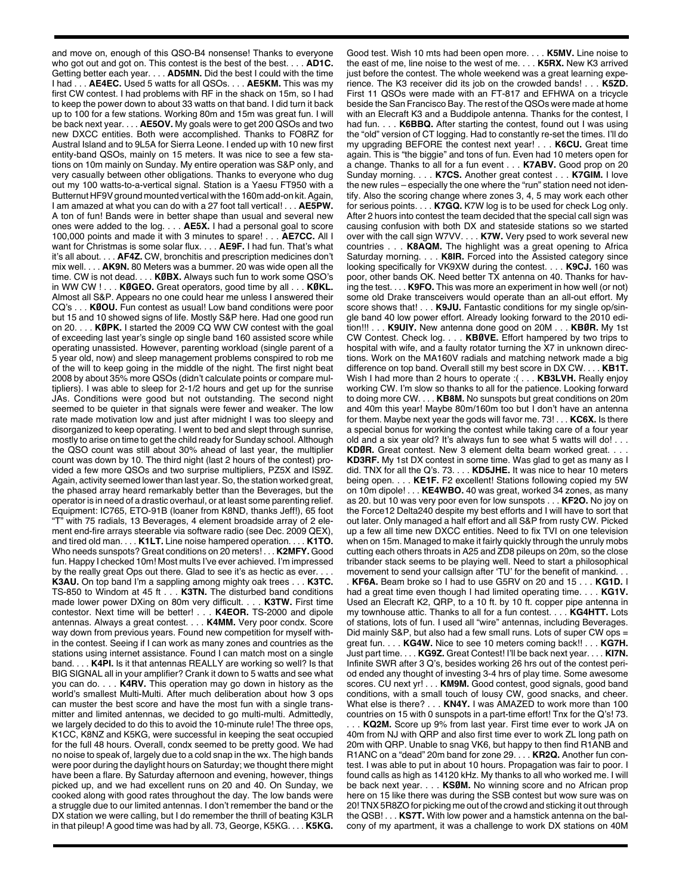and move on, enough of this QSO-B4 nonsense! Thanks to everyone who got out and got on. This contest is the best of the best. . . . **AD1C.** Getting better each year. . . . **AD5MN.** Did the best I could with the time I had . . . **AE4EC.** Used 5 watts for all QSOs. . . . **AE5KM.** This was my first CW contest. I had problems with RF in the shack on 15m, so I had to keep the power down to about 33 watts on that band. I did turn it back up to 100 for a few stations. Working 80m and 15m was great fun. I will be back next year. . . . **AE5OV.** My goals were to get 200 QSOs and two new DXCC entities. Both were accomplished. Thanks to FO8RZ for Austral Island and to 9L5A for Sierra Leone. I ended up with 10 new first entity-band QSOs, mainly on 15 meters. It was nice to see a few stations on 10m mainly on Sunday. My entire operation was S&P only, and very casually between other obligations. Thanks to everyone who dug out my 100 watts-to-a-vertical signal. Station is a Yaesu FT950 with a Butternut HF9V ground mounted vertical with the 160m add-on kit. Again, I am amazed at what you can do with a 27 foot tall vertical! . . . **AE5PW.** A ton of fun! Bands were in better shape than usual and several new ones were added to the log. . . . **AE5X.** I had a personal goal to score 100,000 points and made it with 3 minutes to spare! . . . **AE7CC.** All I want for Christmas is some solar flux. . . . **AE9F.** I had fun. That's what it's all about. . . . **AF4Z.** CW, bronchitis and prescription medicines don't mix well. . . . **AK9N.** 80 Meters was a bummer. 20 was wide open all the time. CW is not dead. . . . **KØBX.** Always such fun to work some QSO's in WW CW ! . . . **KØGEO.** Great operators, good time by all . . . **KØKL.** Almost all S&P. Appears no one could hear me unless I answered their CQ's . . . **KØOU.** Fun contest as usual! Low band conditions were poor but 15 and 10 showed signs of life. Mostly S&P here. Had one good run on 20. . . . **KØPK.** I started the 2009 CQ WW CW contest with the goal of exceeding last year's single op single band 160 assisted score while operating unassisted. However, parenting workload (single parent of a 5 year old, now) and sleep management problems conspired to rob me of the will to keep going in the middle of the night. The first night beat 2008 by about 35% more QSOs (didn't calculate points or compare multipliers). I was able to sleep for 2-1/2 hours and get up for the sunrise JAs. Conditions were good but not outstanding. The second night seemed to be quieter in that signals were fewer and weaker. The low rate made motivation low and just after midnight I was too sleepy and disorganized to keep operating. I went to bed and slept through sunrise, mostly to arise on time to get the child ready for Sunday school. Although the QSO count was still about 30% ahead of last year, the multiplier count was down by 10. The third night (last 2 hours of the contest) provided a few more QSOs and two surprise multipliers, PZ5X and IS9Z. Again, activity seemed lower than last year. So, the station worked great, the phased array heard remarkably better than the Beverages, but the operator is in need of a drastic overhaul, or at least some parenting relief. Equipment: IC765, ETO-91B (loaner from K8ND, thanks Jeff!), 65 foot "T" with 75 radials, 13 Beverages, 4 element broadside array of 2 element end-fire arrays steerable via software radio (see Dec. 2009 QEX), and tired old man. . . . **K1LT.** Line noise hampered operation. . . . **K1TO.** Who needs sunspots? Great conditions on 20 meters! . . . **K2MFY.** Good fun. Happy I checked 10m! Most mults I've ever achieved. I'm impressed by the really great Ops out there. Glad to see it's as hectic as ever. **K3AU.** On top band I'm a sappling among mighty oak trees . . . **K3TC.** TS-850 to Windom at 45 ft . . . **K3TN.** The disturbed band conditions made lower power DXing on 80m very difficult. . . . **K3TW.** First time contestor. Next time will be better! . . . **K4EOR.** TS-2000 and dipole antennas. Always a great contest. . . . **K4MM.** Very poor condx. Score way down from previous years. Found new competition for myself within the contest. Seeing if I can work as many zones and countries as the stations using internet assistance. Found I can match most on a single band. . . . **K4PI.** Is it that antennas REALLY are working so well? Is that BIG SIGNAL all in your amplifier? Crank it down to 5 watts and see what you can do. . . . **K4RV.** This operation may go down in history as the world's smallest Multi-Multi. After much deliberation about how 3 ops can muster the best score and have the most fun with a single transmitter and limited antennas, we decided to go multi-multi. Admittedly, we largely decided to do this to avoid the 10-minute rule! The three ops, K1CC, K8NZ and K5KG, were successful in keeping the seat occupied for the full 48 hours. Overall, condx seemed to be pretty good. We had no noise to speak of, largely due to a cold snap in the wx. The high bands were poor during the daylight hours on Saturday; we thought there might have been a flare. By Saturday afternoon and evening, however, things picked up, and we had excellent runs on 20 and 40. On Sunday, we cooked along with good rates throughout the day. The low bands were a struggle due to our limited antennas. I don't remember the band or the DX station we were calling, but I do remember the thrill of beating K3LR in that pileup! A good time was had by all. 73, George, K5KG. . . . **K5KG.**

Good test. Wish 10 mts had been open more. . . . **K5MV.** Line noise to the east of me, line noise to the west of me. . . . **K5RX.** New K3 arrived just before the contest. The whole weekend was a great learning experience. The K3 receiver did its job on the crowded bands! . . . **K5ZD.** First 11 QSOs were made with an FT-817 and EFHWA on a tricycle beside the San Francisco Bay. The rest of the QSOs were made at home with an Elecraft K3 and a Buddipole antenna. Thanks for the contest, I had fun. . . . **K6BBQ.** After starting the contest, found out I was using the "old" version of CT logging. Had to constantly re-set the times. I'll do my upgrading BEFORE the contest next year! . . . **K6CU.** Great time again. This is "the biggie" and tons of fun. Even had 10 meters open for a change. Thanks to all for a fun event . . . **K7ABV.** Good prop on 20 Sunday morning. . . . **K7CS.** Another great contest . . . **K7GIM.** I love the new rules – especially the one where the "run" station need not identify. Also the scoring change where zones 3, 4, 5 may work each other for serious points. . . . **K7GQ.** K7W log is to be used for check Log only. After 2 huors into contest the team decided that the special call sign was causing confusion with both DX and stateside stations so we started over with the call sign W7VV. . . . **K7W.** Very psed to work several new countries . . . **K8AQM.** The highlight was a great opening to Africa Saturday morning. . . . **K8IR.** Forced into the Assisted category since looking specifically for VK9XW during the contest. . . . **K9CJ.** 160 was poor, other bands OK. Need better TX antenna on 40. Thanks for having the test. . . . **K9FO.** This was more an experiment in how well (or not) some old Drake transceivers would operate than an all-out effort. My score shows that! . . . **K9JU.** Fantastic conditions for my single op/single band 40 low power effort. Already looking forward to the 2010 edition!!! . . . **K9UIY.** New antenna done good on 20M . . . **KBØR.** My 1st CW Contest. Check log. . . . **KBØVE.** Effort hampered by two trips to hospital with wife, and a faulty rotator turning the X7 in unknown directions. Work on the MA160V radials and matching network made a big difference on top band. Overall still my best score in DX CW. . . . **KB1T.** Wish I had more than 2 hours to operate :( . . . **KB3LVH.** Really enjoy working CW. I'm slow so thanks to all for the patience. Looking forward to doing more CW. . . . **KB8M.** No sunspots but great conditions on 20m and 40m this year! Maybe 80m/160m too but I don't have an antenna for them. Maybe next year the gods will favor me. 73! . . . **KC6X.** Is there a special bonus for working the contest while taking care of a four year old and a six year old? It's always fun to see what 5 watts will do! . . . **KDØR.** Great contest. New 3 element delta beam worked great. . . . **KD3RF.** My 1st DX contest in some time. Was glad to get as many as I

did. TNX for all the Q's. 73. . . . **KD5JHE.** It was nice to hear 10 meters being open. . . . **KE1F.** F2 excellent! Stations following copied my 5W on 10m dipole! . . . **KE4WBO.** 40 was great, worked 34 zones, as many as 20. but 10 was very poor even for low sunspots . . . **KF2O.** No joy on the Force12 Delta240 despite my best efforts and I will have to sort that out later. Only managed a half effort and all S&P from rusty CW. Picked up a few all time new DXCC entities. Need to fix TVI on one television when on 15m. Managed to make it fairly quickly through the unruly mobs cutting each others throats in A25 and ZD8 pileups on 20m, so the close tribander stack seems to be playing well. Need to start a philosophical movement to send your callsign after 'TU' for the benefit of mankind. . .

. **KF6A.** Beam broke so I had to use G5RV on 20 and 15 . . . **KG1D.** I had a great time even though I had limited operating time. . . . **KG1V.** Used an Elecraft K2, QRP, to a 10 ft. by 10 ft. copper pipe antenna in my townhouse attic. Thanks to all for a fun contest. . . . **KG4HTT.** Lots of stations, lots of fun. I used all "wire" antennas, including Beverages. Did mainly S&P, but also had a few small runs. Lots of super CW ops = great fun. . . . **KG4W.** Nice to see 10 meters coming back!! . . . **KG7H.** Just part time. . . . **KG9Z.** Great Contest! I'll be back next year. . . . **KI7N.** Infinite SWR after 3 Q's, besides working 26 hrs out of the contest period ended any thought of investing 3-4 hrs of play time. Some awesome scores. CU next yr!... **KM9M.** Good contest, good signals, good band conditions, with a small touch of lousy CW, good snacks, and cheer. What else is there? . . . **KN4Y.** I was AMAZED to work more than 100 countries on 15 with 0 sunspots in a part-time effort! Tnx for the Q's! 73.

. KQ2M. Score up 9% from last year. First time ever to work JA on 40m from NJ with QRP and also first time ever to work ZL long path on 20m with QRP. Unable to snag VK6, but happy to then find R1ANB and R1ANC on a "dead" 20m band for zone 29. . . . **KR2Q.** Another fun contest. I was able to put in about 10 hours. Propagation was fair to poor. I found calls as high as 14120 kHz. My thanks to all who worked me. I will be back next year. . . . **KSØM.** No winning score and no African prop here on 15 like there was during the SSB contest but wow sure was on 20! TNX5R8ZO for picking me out of the crowd and sticking it out through the QSB! . . . **KS7T.** With low power and a hamstick antenna on the balcony of my apartment, it was a challenge to work DX stations on 40M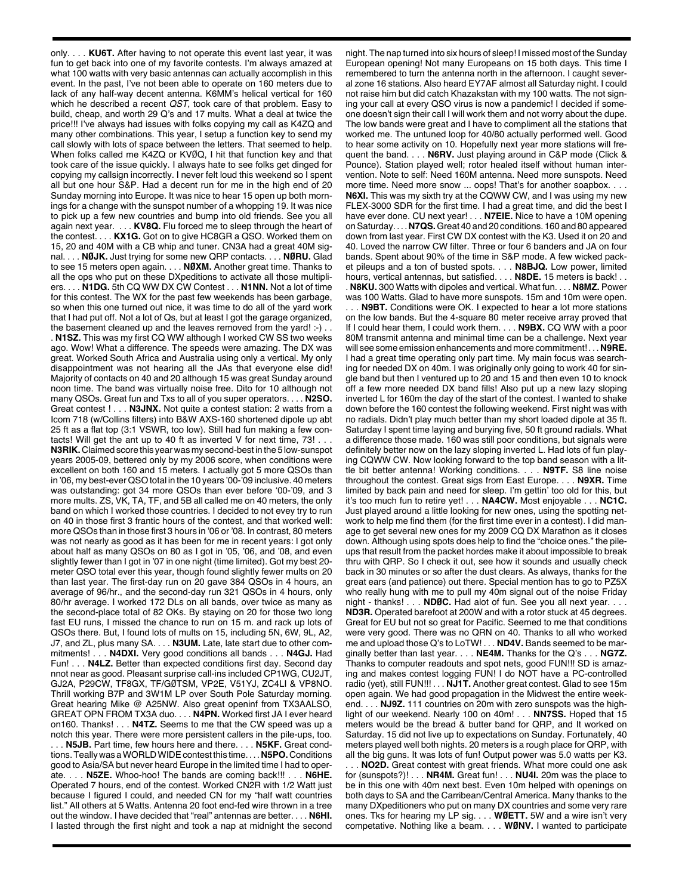only. . . . **KU6T.** After having to not operate this event last year, it was fun to get back into one of my favorite contests. I'm always amazed at what 100 watts with very basic antennas can actually accomplish in this event. In the past, I've not been able to operate on 160 meters due to lack of any half-way decent antenna. K6MM's helical vertical for 160 which he described a recent *QST*, took care of that problem. Easy to build, cheap, and worth 29 Q's and 17 mults. What a deal at twice the price!!! I've always had issues with folks copying my call as K4ZQ and many other combinations. This year, I setup a function key to send my call slowly with lots of space between the letters. That seemed to help. When folks called me K4ZQ or KVØQ, I hit that function key and that took care of the issue quickly. I always hate to see folks get dinged for copying my callsign incorrectly. I never felt loud this weekend so I spent all but one hour S&P. Had a decent run for me in the high end of 20 Sunday morning into Europe. It was nice to hear 15 open up both mornings for a change with the sunspot number of a whopping 19. It was nice to pick up a few new countries and bump into old friends. See you all again next year. . . . **KV8Q.** Flu forced me to sleep through the heart of the contest. . . . **KX1G.** Got on to give HC8GR a QSO. Worked them on 15, 20 and 40M with a CB whip and tuner. CN3A had a great 40M signal. . . . **NØJK.** Just trying for some new QRP contacts. . . . **NØRU.** Glad to see 15 meters open again. . . . **NØXM.** Another great time. Thanks to all the ops who put on these DXpeditions to activate all those multipliers. . . . **N1DG.** 5th CQ WW DX CW Contest . . . **N1NN.** Not a lot of time for this contest. The WX for the past few weekends has been garbage, so when this one turned out nice, it was time to do all of the yard work that I had put off. Not a lot of Qs, but at least I got the garage organized, the basement cleaned up and the leaves removed from the yard! :- ). . **N1SZ.** This was my first CQ WW although I worked CW SS two weeks ago. Wow! What a difference. The speeds were amazing. The DX was great. Worked South Africa and Australia using only a vertical. My only disappointment was not hearing all the JAs that everyone else did! Majority of contacts on 40 and 20 although 15 was great Sunday around noon time. The band was virtually noise free. Dito for 10 although not many QSOs. Great fun and Txs to all of you super operators. . . . **N2SO.** Great contest ! . . **N3JNX.** Not quite a contest station: 2 watts from a Icom 718 (w/Collins filters) into B&W AXS-160 shortened dipole up abt 25 ft as a flat top (3:1 VSWR, too low). Still had fun making a few contacts! Will get the ant up to 40 ft as inverted V for next time, 73! . . . **N3RIK.** Claimed score this year was my second-best in the 5 low-sunspot years 2005-09, bettered only by my 2006 score, when conditions were excellent on both 160 and 15 meters. I actually got 5 more QSOs than in '06, my best-ever QSO total in the 10 years '00-'09 inclusive. 40 meters was outstanding: got 34 more QSOs than ever before '00-'09, and 3 more mults. ZS, VK, TA, TF, and 5B all called me on 40 meters, the only band on which I worked those countries. I decided to not evey try to run on 40 in those first 3 frantic hours of the contest, and that worked well: more QSOs than in those first 3 hours in '06 or '08. In contrast, 80 meters was not nearly as good as it has been for me in recent years: I got only about half as many QSOs on 80 as I got in '05, '06, and '08, and even slightly fewer than I got in '07 in one night (time limited). Got my best 20 meter QSO total ever this year, though found slightly fewer mults on 20 than last year. The first-day run on 20 gave 384 QSOs in 4 hours, an average of 96/hr., and the second-day run 321 QSOs in 4 hours, only 80/hr average. I worked 172 DLs on all bands, over twice as many as the second-place total of 82 OKs. By staying on 20 for those two long fast EU runs, I missed the chance to run on 15 m. and rack up lots of QSOs there. But, I found lots of mults on 15, including 5N, 6W, 9L, A2, J7, and ZL, plus many SA. . . . **N3UM.** Late, late start due to other commitments! . . . **N4DXI.** Very good conditions all bands . . . **N4GJ.** Had Fun! . . . **N4LZ.** Better than expected conditions first day. Second day nnot near as good. Pleasant surprise call-ins included CP1WG, CU2JT, GJ2A, P29CW, TF8GX, TF/GØTSM, VP2E, V51YJ, ZC4LI & VP8NO. Thrill working B7P and 3W1M LP over South Pole Saturday morning. Great hearing Mike @ A25NW. Also great openinf from TX3AALSO, GREAT OPN FROM TX3A duo. . . . **N4PN.** Worked first JA I ever heard on160. Thanks! . . . **N4TZ.** Seems to me that the CW speed was up a notch this year. There were more persistent callers in the pile-ups, too. . N5JB. Part time, few hours here and there. . . . N5KF. Great condtions.Teally was aWORLDWIDEcontest this time. . . . **N5PO.** Conditions good to Asia/SA but never heard Europe in the limited time I had to operate. . . . **N5ZE.** Whoo-hoo! The bands are coming back!!! . . . **N6HE.** Operated 7 hours, end of the contest. Worked CN2R with 1/2 Watt just because I figured I could, and needed CN for my "half watt countries list." All others at 5 Watts. Antenna 20 foot end-fed wire thrown in a tree out the window. I have decided that "real" antennas are better. . . . **N6HI.**

I lasted through the first night and took a nap at midnight the second

night. The nap turned into six hours of sleep! I missed most of the Sunday European opening! Not many Europeans on 15 both days. This time I remembered to turn the antenna north in the afternoon. I caught several zone 16 stations. Also heard EY7AF almost all Saturday night. I could not raise him but did catch Khazakstan with my 100 watts. The not signing your call at every QSO virus is now a pandemic! I decided if someone doesn't sign their call I will work them and not worry about the dupe. The low bands were great and I have to compliment all the stations that worked me. The untuned loop for 40/80 actually performed well. Good to hear some activity on 10. Hopefully next year more stations will frequent the band. . . . **N6RV.** Just playing around in C&P mode (Click & Pounce). Station played well; rotor healed itself without human intervention. Note to self: Need 160M antenna. Need more sunspots. Need more time. Need more snow ... oops! That's for another soapbox. . . . **N6XI.** This was my sixth try at the CQWW CW, and I was using my new FLEX-3000 SDR for the first time. I had a great time, and did the best I have ever done. CU next year! . . . **N7EIE.** Nice to have a 10M opening onSaturday. . . . **N7QS.**Great 40 and 20 conditions. 160 and 80 appeared down from last year. First CW DX contest with the K3. Used it on 20 and 40. Loved the narrow CW filter. Three or four 6 banders and JA on four bands. Spent about 90% of the time in S&P mode. A few wicked packet pileups and a ton of busted spots. . . . **N8BJQ.** Low power, limited hours, vertical antennas, but satisfied. . . . **N8DE.** 15 meters is back! . . . **N8KU.** 300 Watts with dipoles and vertical. What fun. . . . **N8MZ.** Power

was 100 Watts. Glad to have more sunspots. 15m and 10m were open. . . . **N9BT.** Conditions were OK. I expected to hear a lot more stations on the low bands. But the 4-square 80 meter receive array proved that If I could hear them, I could work them. . . . **N9BX.** CQ WW with a poor 80M transmit antenna and minimal time can be a challenge. Next year will see some emission enhancements and more commitment! . . . **N9RE.** I had a great time operating only part time. My main focus was searching for needed DX on 40m. I was originally only going to work 40 for single band but then I ventured up to 20 and 15 and then even 10 to knock off a few more needed DX band fills! Also put up a new lazy sloping inverted L for 160m the day of the start of the contest. I wanted to shake down before the 160 contest the following weekend. First night was with no radials. Didn't play much better than my short loaded dipole at 35 ft. Saturday I spent time laying and burying five, 50 ft ground radials. What a difference those made. 160 was still poor conditions, but signals were definitely better now on the lazy sloping inverted L. Had lots of fun playing CQWW CW. Now looking forward to the top band season with a little bit better antenna! Working conditions. . . . **N9TF.** S8 line noise throughout the contest. Great sigs from East Europe. . . . **N9XR.** Time limited by back pain and need for sleep. I'm gettin' too old for this, but it's too much fun to retire yet! . . . **NA4CW.** Most enjoyable . . . **NC1C.** Just played around a little looking for new ones, using the spotting network to help me find them (for the first time ever in a contest). I did manage to get several new ones for my 2009 CQ DX Marathon as it closes down. Although using spots does help to find the "choice ones." the pileups that result from the packet hordes make it about impossible to break thru with QRP. So I check it out, see how it sounds and usually check back in 30 minutes or so after the dust clears. As always, thanks for the great ears (and patience) out there. Special mention has to go to PZ5X who really hung with me to pull my 40m signal out of the noise Friday night - thanks! . . . **NDØC.** Had alot of fun. See you all next year. . . . **ND3R.** Operated barefoot at 200W and with a rotor stuck at 45 degrees. Great for EU but not so great for Pacific. Seemed to me that conditions were very good. There was no QRN on 40. Thanks to all who worked me and upload those Q's to LoTW! . . . **ND4V.** Bands seemed to be marginally better than last year. . . . **NE4M.** Thanks for the Q's . . . **NG7Z.** Thanks to computer readouts and spot nets, good FUN!!! SD is amazing and makes contest logging FUN! I do NOT have a PC-controlled radio (yet), still FUN!!! . . . **NJ1T.** Another great contest. Glad to see 15m open again. We had good propagation in the Midwest the entire weekend. . . . **NJ9Z.** 111 countries on 20m with zero sunspots was the highlight of our weekend. Nearly 100 on 40m! . . . **NN7SS.** Hoped that 15 meters would be the bread & butter band for QRP, and It worked on Saturday. 15 did not live up to expectations on Sunday. Fortunately, 40 meters played well both nights. 20 meters is a rough place for QRP, with all the big guns. It was lots of fun! Output power was 5.0 watts per K3. . . **NO2D.** Great contest with great friends. What more could one ask for (sunspots?)! . . . **NR4M.** Great fun! . . . **NU4I.** 20m was the place to be in this one with 40m next best. Even 10m helped with openings on both days to SA and the Carribean/Central America. Many thanks to the many DXpeditioners who put on many DX countries and some very rare ones. Tks for hearing my LP sig. . . . **WØETT.** 5W and a wire isn't very competative. Nothing like a beam. . . . **WØNV.** I wanted to participate